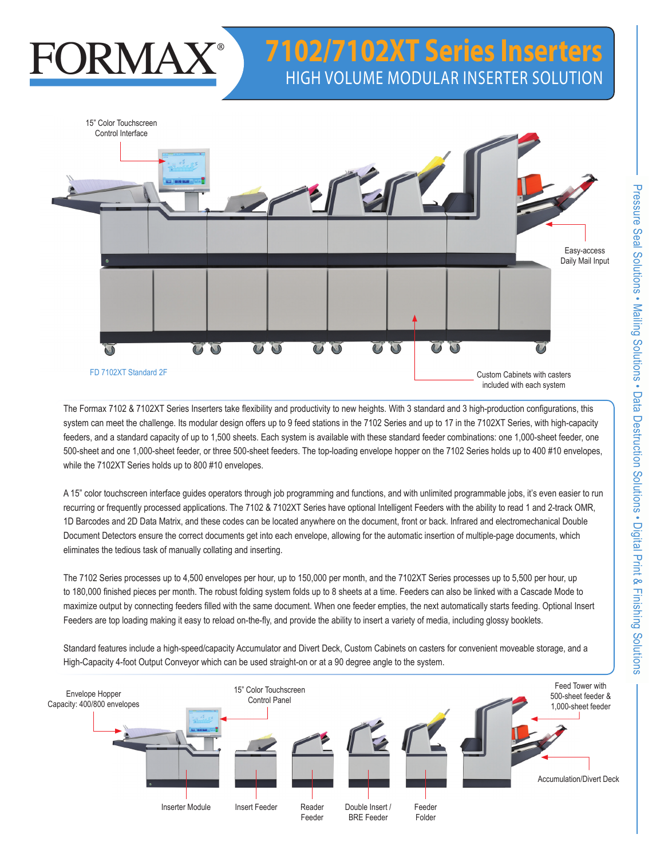# **ORMA**

## **7102/7102XT Series Inserters** High Volume MODULAR Inserter Solution



The Formax 7102 & 7102XT Series Inserters take flexibility and productivity to new heights. With 3 standard and 3 high-production configurations, this system can meet the challenge. Its modular design offers up to 9 feed stations in the 7102 Series and up to 17 in the 7102XT Series, with high-capacity feeders, and a standard capacity of up to 1,500 sheets. Each system is available with these standard feeder combinations: one 1,000-sheet feeder, one 500-sheet and one 1,000-sheet feeder, or three 500-sheet feeders. The top-loading envelope hopper on the 7102 Series holds up to 400 #10 envelopes, while the 7102XT Series holds up to 800 #10 envelopes.

A 15" color touchscreen interface guides operators through job programming and functions, and with unlimited programmable jobs, it's even easier to run recurring or frequently processed applications. The 7102 & 7102XT Series have optional Intelligent Feeders with the ability to read 1 and 2-track OMR, 1D Barcodes and 2D Data Matrix, and these codes can be located anywhere on the document, front or back. Infrared and electromechanical Double Document Detectors ensure the correct documents get into each envelope, allowing for the automatic insertion of multiple-page documents, which eliminates the tedious task of manually collating and inserting.

The 7102 Series processes up to 4,500 envelopes per hour, up to 150,000 per month, and the 7102XT Series processes up to 5,500 per hour, up to 180,000 finished pieces per month. The robust folding system folds up to 8 sheets at a time. Feeders can also be linked with a Cascade Mode to maximize output by connecting feeders filled with the same document. When one feeder empties, the next automatically starts feeding. Optional Insert Feeders are top loading making it easy to reload on-the-fly, and provide the ability to insert a variety of media, including glossy booklets.

Standard features include a high-speed/capacity Accumulator and Divert Deck, Custom Cabinets on casters for convenient moveable storage, and a High-Capacity 4-foot Output Conveyor which can be used straight-on or at a 90 degree angle to the system.